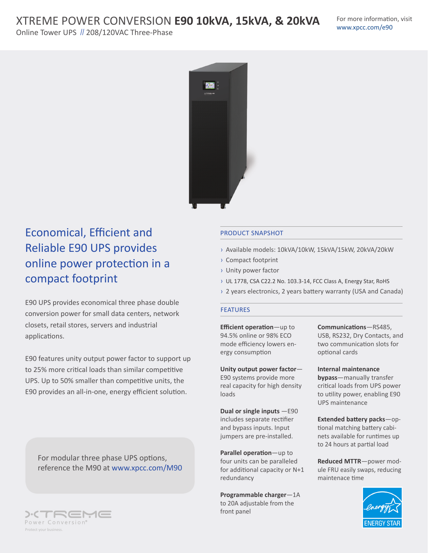# XTREME POWER CONVERSION **E90 10kVA, 15kVA, & 20kVA**

Online Tower UPS // 208/120VAC Three-Phase



## Economical, Efficient and Reliable E90 UPS provides online power protection in a compact footprint

E90 UPS provides economical three phase double conversion power for small data centers, network closets, retail stores, servers and industrial applications.

E90 features unity output power factor to support up to 25% more critical loads than similar competitive UPS. Up to 50% smaller than competitive units, the E90 provides an all-in-one, energy efficient solution.

For modular three phase UPS options, reference the M90 at www.xpcc.com/M90



### PRODUCT SNAPSHOT

- › Available models: 10kVA/10kW, 15kVA/15kW, 20kVA/20kW
- › Compact footprint
- › Unity power factor
- › UL 1778, CSA C22.2 No. 103.3-14, FCC Class A, Energy Star, RoHS
- › 2 years electronics, 2 years battery warranty (USA and Canada)

#### FEATURES

**Efficient operation**—up to 94.5% online or 98% ECO mode efficiency lowers energy consumption

**Unity output power factor**— E90 systems provide more real capacity for high density loads

**Dual or single inputs** —E90 includes separate rectifier and bypass inputs. Input jumpers are pre-installed.

**Parallel operation**—up to four units can be paralleled for additional capacity or N+1 redundancy

**Programmable charger**—1A to 20A adjustable from the front panel

**Communications**—RS485, USB, RS232, Dry Contacts, and two communication slots for optional cards

**Internal maintenance bypass**—manually transfer critical loads from UPS power to utility power, enabling E90 UPS maintenance

**Extended battery packs**—optional matching battery cabinets available for runtimes up to 24 hours at partial load

**Reduced MTTR**—power module FRU easily swaps, reducing maintenace time